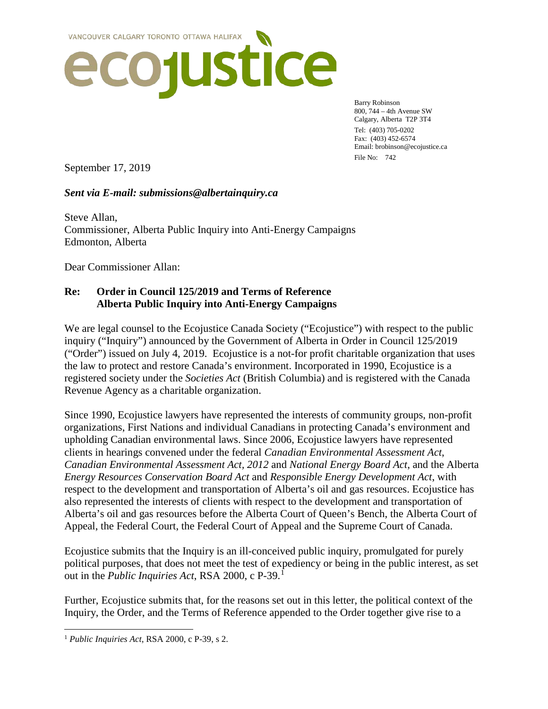

Barry Robinson 800, 744 – 4th Avenue SW Calgary, Alberta T2P 3T4 Tel: (403) 705-0202 Fax: (403) 452-6574 Email: brobinson@ecojustice.ca File No: 742

September 17, 2019

#### *Sent via E-mail: submissions@albertainquiry.ca*

Steve Allan, Commissioner, Alberta Public Inquiry into Anti-Energy Campaigns Edmonton, Alberta

Dear Commissioner Allan:

### **Re: Order in Council 125/2019 and Terms of Reference Alberta Public Inquiry into Anti-Energy Campaigns**

We are legal counsel to the Ecojustice Canada Society ("Ecojustice") with respect to the public inquiry ("Inquiry") announced by the Government of Alberta in Order in Council 125/2019 ("Order") issued on July 4, 2019. Ecojustice is a not-for profit charitable organization that uses the law to protect and restore Canada's environment. Incorporated in 1990, Ecojustice is a registered society under the *Societies Act* (British Columbia) and is registered with the Canada Revenue Agency as a charitable organization.

Since 1990, Ecojustice lawyers have represented the interests of community groups, non-profit organizations, First Nations and individual Canadians in protecting Canada's environment and upholding Canadian environmental laws. Since 2006, Ecojustice lawyers have represented clients in hearings convened under the federal *Canadian Environmental Assessment Act*, *Canadian Environmental Assessment Act, 2012* and *National Energy Board Act*, and the Alberta *Energy Resources Conservation Board Act* and *Responsible Energy Development Act*, with respect to the development and transportation of Alberta's oil and gas resources. Ecojustice has also represented the interests of clients with respect to the development and transportation of Alberta's oil and gas resources before the Alberta Court of Queen's Bench, the Alberta Court of Appeal, the Federal Court, the Federal Court of Appeal and the Supreme Court of Canada.

Ecojustice submits that the Inquiry is an ill-conceived public inquiry, promulgated for purely political purposes, that does not meet the test of expediency or being in the public interest, as set out in the *Public Inquiries Act*, RSA 2000, c P-39.[1](#page-0-0)

Further, Ecojustice submits that, for the reasons set out in this letter, the political context of the Inquiry, the Order, and the Terms of Reference appended to the Order together give rise to a

 $\overline{a}$ 

<span id="page-0-0"></span><sup>1</sup> *Public Inquiries Act*, RSA 2000, c P-39, s 2.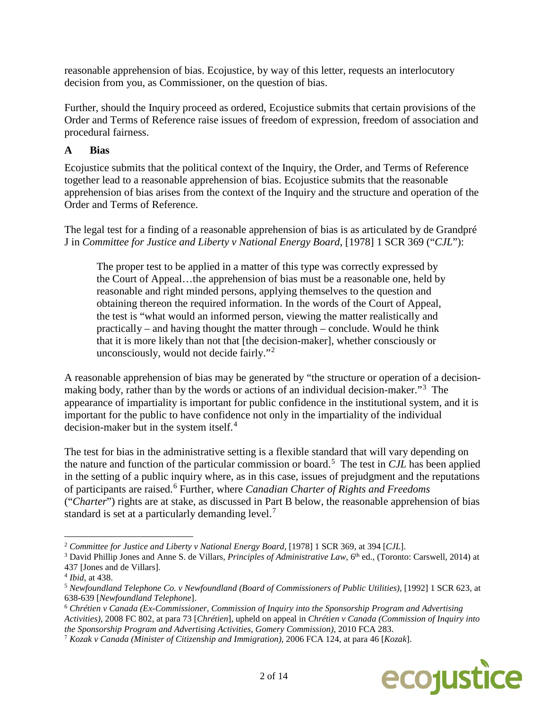reasonable apprehension of bias. Ecojustice, by way of this letter, requests an interlocutory decision from you, as Commissioner, on the question of bias.

Further, should the Inquiry proceed as ordered, Ecojustice submits that certain provisions of the Order and Terms of Reference raise issues of freedom of expression, freedom of association and procedural fairness.

# **A Bias**

Ecojustice submits that the political context of the Inquiry, the Order, and Terms of Reference together lead to a reasonable apprehension of bias. Ecojustice submits that the reasonable apprehension of bias arises from the context of the Inquiry and the structure and operation of the Order and Terms of Reference.

The legal test for a finding of a reasonable apprehension of bias is as articulated by de Grandpré J in *Committee for Justice and Liberty v National Energy Board*, [1978] 1 SCR 369 ("*CJL*"):

The proper test to be applied in a matter of this type was correctly expressed by the Court of Appeal…the apprehension of bias must be a reasonable one, held by reasonable and right minded persons, applying themselves to the question and obtaining thereon the required information. In the words of the Court of Appeal, the test is "what would an informed person, viewing the matter realistically and practically – and having thought the matter through – conclude. Would he think that it is more likely than not that [the decision-maker], whether consciously or unconsciously, would not decide fairly."[2](#page-1-0)

A reasonable apprehension of bias may be generated by "the structure or operation of a decision-making body, rather than by the words or actions of an individual decision-maker."<sup>[3](#page-1-1)</sup> The appearance of impartiality is important for public confidence in the institutional system, and it is important for the public to have confidence not only in the impartiality of the individual decision-maker but in the system itself. $4$ 

The test for bias in the administrative setting is a flexible standard that will vary depending on the nature and function of the particular commission or board.<sup>[5](#page-1-3)</sup> The test in *CJL* has been applied in the setting of a public inquiry where, as in this case, issues of prejudgment and the reputations of participants are raised.[6](#page-1-4) Further, where *Canadian Charter of Rights and Freedoms*  ("*Charter*") rights are at stake, as discussed in Part B below, the reasonable apprehension of bias standard is set at a particularly demanding level.<sup>[7](#page-1-5)</sup>

<span id="page-1-5"></span><sup>7</sup> *Kozak v Canada (Minister of Citizenship and Immigration)*, 2006 FCA 124, at para 46 [*Kozak*].



<span id="page-1-0"></span> $\overline{a}$ <sup>2</sup> *Committee for Justice and Liberty v National Energy Board*, [1978] 1 SCR 369, at 394 [*CJL*].

<span id="page-1-1"></span><sup>&</sup>lt;sup>3</sup> David Phillip Jones and Anne S. de Villars, *Principles of Administrative Law*, 6<sup>th</sup> ed., (Toronto: Carswell, 2014) at 437 [Jones and de Villars].

<span id="page-1-2"></span><sup>4</sup> *Ibid*, at 438.

<span id="page-1-3"></span><sup>5</sup> *Newfoundland Telephone Co. v Newfoundland (Board of Commissioners of Public Utilities)*, [1992] 1 SCR 623, at 638-639 [*Newfoundland Telephone*].

<span id="page-1-4"></span><sup>6</sup> *Chrétien v Canada (Ex-Commissioner, Commission of Inquiry into the Sponsorship Program and Advertising Activities)*, 2008 FC 802, at para 73 [*Chrétien*], upheld on appeal in *Chrétien v Canada (Commission of Inquiry into the Sponsorship Program and Advertising Activities, Gomery Commission)*, 2010 FCA 283.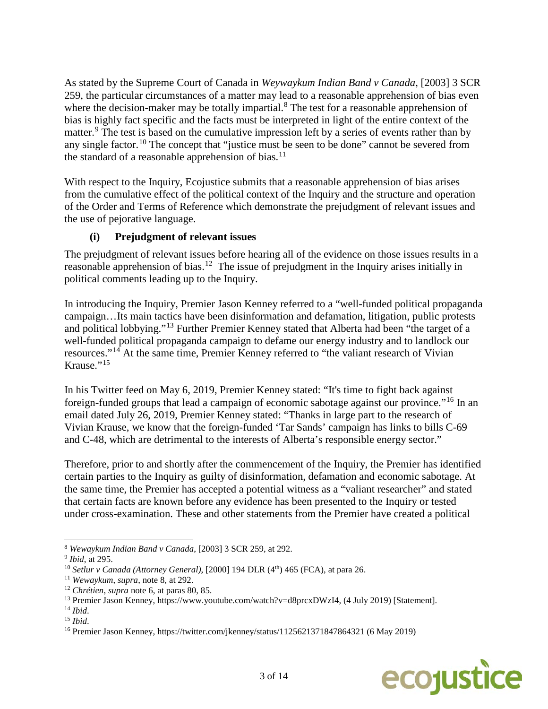As stated by the Supreme Court of Canada in *Weywaykum Indian Band v Canada*, [2003] 3 SCR 259, the particular circumstances of a matter may lead to a reasonable apprehension of bias even where the decision-maker may be totally impartial.<sup>[8](#page-2-0)</sup> The test for a reasonable apprehension of bias is highly fact specific and the facts must be interpreted in light of the entire context of the matter.<sup>[9](#page-2-1)</sup> The test is based on the cumulative impression left by a series of events rather than by any single factor.<sup>[10](#page-2-2)</sup> The concept that "justice must be seen to be done" cannot be severed from the standard of a reasonable apprehension of bias. $^{11}$  $^{11}$  $^{11}$ 

With respect to the Inquiry, Ecojustice submits that a reasonable apprehension of bias arises from the cumulative effect of the political context of the Inquiry and the structure and operation of the Order and Terms of Reference which demonstrate the prejudgment of relevant issues and the use of pejorative language.

## **(i) Prejudgment of relevant issues**

The prejudgment of relevant issues before hearing all of the evidence on those issues results in a reasonable apprehension of bias.<sup>[12](#page-2-4)</sup> The issue of prejudgment in the Inquiry arises initially in political comments leading up to the Inquiry.

In introducing the Inquiry, Premier Jason Kenney referred to a "well-funded political propaganda campaign…Its main tactics have been disinformation and defamation, litigation, public protests and political lobbying."[13](#page-2-5) Further Premier Kenney stated that Alberta had been "the target of a well-funded political propaganda campaign to defame our energy industry and to landlock our resources."[14](#page-2-6) At the same time, Premier Kenney referred to "the valiant research of Vivian Krause."[15](#page-2-7)

In his Twitter feed on May 6, 2019, Premier Kenney stated: "It's time to fight back against foreign-funded groups that lead a campaign of economic sabotage against our province."[16](#page-2-8) In an email dated July 26, 2019, Premier Kenney stated: "Thanks in large part to the research of Vivian Krause, we know that the foreign-funded 'Tar Sands' campaign has links to bills C-69 and C-48, which are detrimental to the interests of Alberta's responsible energy sector."

Therefore, prior to and shortly after the commencement of the Inquiry, the Premier has identified certain parties to the Inquiry as guilty of disinformation, defamation and economic sabotage. At the same time, the Premier has accepted a potential witness as a "valiant researcher" and stated that certain facts are known before any evidence has been presented to the Inquiry or tested under cross-examination. These and other statements from the Premier have created a political

<span id="page-2-8"></span><sup>16</sup> Premier Jason Kenney, [https://twitter.com/jkenney/status/1125621371847864321 \(6](https://twitter.com/jkenney/status/1125621371847864321%20(6) May 2019)



<span id="page-2-0"></span> $\overline{\phantom{a}}$ <sup>8</sup> *Wewaykum Indian Band v Canada*, [2003] 3 SCR 259, at 292.

<span id="page-2-1"></span><sup>9</sup> *Ibid*, at 295.

<span id="page-2-2"></span><sup>&</sup>lt;sup>10</sup> *Setlur v Canada (Attorney General)*, [2000] 194 DLR (4<sup>th</sup>) 465 (FCA), at para 26.

<span id="page-2-3"></span><sup>11</sup> *Wewaykum*, *supra*, note 8, at 292.

<span id="page-2-4"></span><sup>12</sup> *Chrétien*, *supra* note 6, at paras 80, 85.

<span id="page-2-5"></span><sup>13</sup> Premier Jason Kenney, [https://www.youtube.com/watch?v=d8prcxDWzI4,](https://www.youtube.com/watch?v=d8prcxDWzI4) (4 July 2019) [Statement].

<span id="page-2-6"></span><sup>14</sup> *Ibid*.

<span id="page-2-7"></span><sup>15</sup> *Ibid*.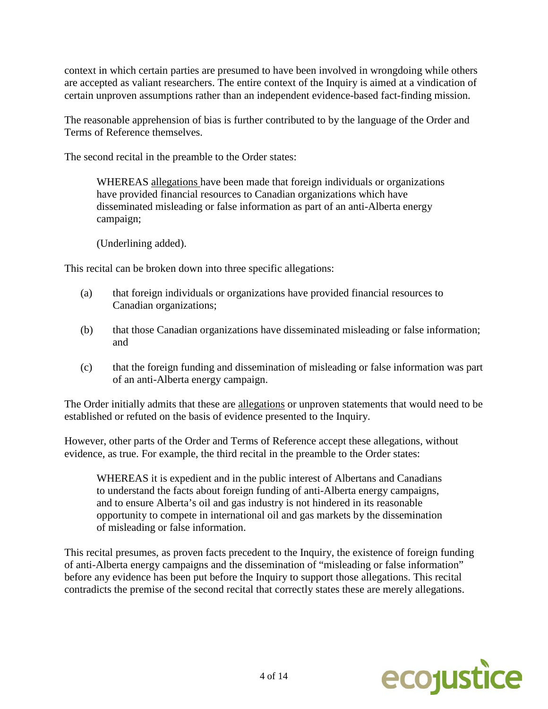context in which certain parties are presumed to have been involved in wrongdoing while others are accepted as valiant researchers. The entire context of the Inquiry is aimed at a vindication of certain unproven assumptions rather than an independent evidence-based fact-finding mission.

The reasonable apprehension of bias is further contributed to by the language of the Order and Terms of Reference themselves.

The second recital in the preamble to the Order states:

WHEREAS allegations have been made that foreign individuals or organizations have provided financial resources to Canadian organizations which have disseminated misleading or false information as part of an anti-Alberta energy campaign;

(Underlining added).

This recital can be broken down into three specific allegations:

- (a) that foreign individuals or organizations have provided financial resources to Canadian organizations;
- (b) that those Canadian organizations have disseminated misleading or false information; and
- (c) that the foreign funding and dissemination of misleading or false information was part of an anti-Alberta energy campaign.

The Order initially admits that these are allegations or unproven statements that would need to be established or refuted on the basis of evidence presented to the Inquiry.

However, other parts of the Order and Terms of Reference accept these allegations, without evidence, as true. For example, the third recital in the preamble to the Order states:

WHEREAS it is expedient and in the public interest of Albertans and Canadians to understand the facts about foreign funding of anti-Alberta energy campaigns, and to ensure Alberta's oil and gas industry is not hindered in its reasonable opportunity to compete in international oil and gas markets by the dissemination of misleading or false information.

This recital presumes, as proven facts precedent to the Inquiry, the existence of foreign funding of anti-Alberta energy campaigns and the dissemination of "misleading or false information" before any evidence has been put before the Inquiry to support those allegations. This recital contradicts the premise of the second recital that correctly states these are merely allegations.

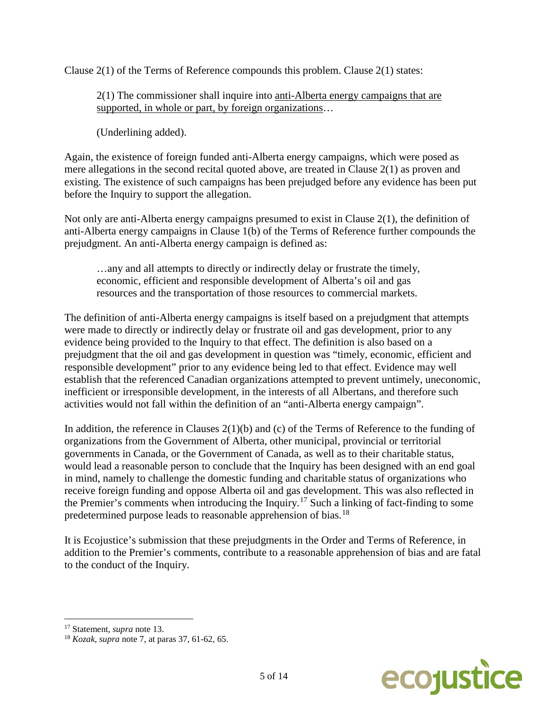Clause  $2(1)$  of the Terms of Reference compounds this problem. Clause  $2(1)$  states:

2(1) The commissioner shall inquire into anti-Alberta energy campaigns that are supported, in whole or part, by foreign organizations…

(Underlining added).

Again, the existence of foreign funded anti-Alberta energy campaigns, which were posed as mere allegations in the second recital quoted above, are treated in Clause 2(1) as proven and existing. The existence of such campaigns has been prejudged before any evidence has been put before the Inquiry to support the allegation.

Not only are anti-Alberta energy campaigns presumed to exist in Clause 2(1), the definition of anti-Alberta energy campaigns in Clause 1(b) of the Terms of Reference further compounds the prejudgment. An anti-Alberta energy campaign is defined as:

…any and all attempts to directly or indirectly delay or frustrate the timely, economic, efficient and responsible development of Alberta's oil and gas resources and the transportation of those resources to commercial markets.

The definition of anti-Alberta energy campaigns is itself based on a prejudgment that attempts were made to directly or indirectly delay or frustrate oil and gas development, prior to any evidence being provided to the Inquiry to that effect. The definition is also based on a prejudgment that the oil and gas development in question was "timely, economic, efficient and responsible development" prior to any evidence being led to that effect. Evidence may well establish that the referenced Canadian organizations attempted to prevent untimely, uneconomic, inefficient or irresponsible development, in the interests of all Albertans, and therefore such activities would not fall within the definition of an "anti-Alberta energy campaign".

In addition, the reference in Clauses 2(1)(b) and (c) of the Terms of Reference to the funding of organizations from the Government of Alberta, other municipal, provincial or territorial governments in Canada, or the Government of Canada, as well as to their charitable status, would lead a reasonable person to conclude that the Inquiry has been designed with an end goal in mind, namely to challenge the domestic funding and charitable status of organizations who receive foreign funding and oppose Alberta oil and gas development. This was also reflected in the Premier's comments when introducing the Inquiry.<sup>[17](#page-4-0)</sup> Such a linking of fact-finding to some predetermined purpose leads to reasonable apprehension of bias.<sup>[18](#page-4-1)</sup>

It is Ecojustice's submission that these prejudgments in the Order and Terms of Reference, in addition to the Premier's comments, contribute to a reasonable apprehension of bias and are fatal to the conduct of the Inquiry.

l



<span id="page-4-0"></span><sup>17</sup> Statement, *supra* note 13.

<span id="page-4-1"></span><sup>18</sup> *Kozak*, *supra* note 7, at paras 37, 61-62, 65.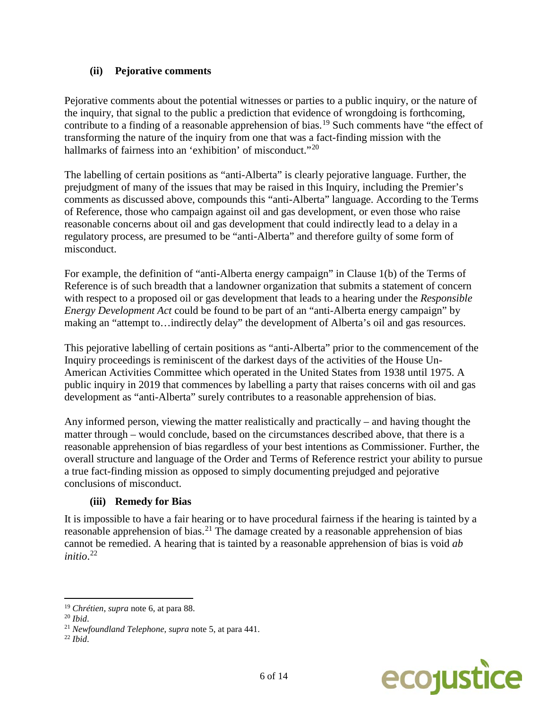### **(ii) Pejorative comments**

Pejorative comments about the potential witnesses or parties to a public inquiry, or the nature of the inquiry, that signal to the public a prediction that evidence of wrongdoing is forthcoming, contribute to a finding of a reasonable apprehension of bias.<sup>[19](#page-5-0)</sup> Such comments have "the effect of transforming the nature of the inquiry from one that was a fact-finding mission with the hallmarks of fairness into an 'exhibition' of misconduct."<sup>[20](#page-5-1)</sup>

The labelling of certain positions as "anti-Alberta" is clearly pejorative language. Further, the prejudgment of many of the issues that may be raised in this Inquiry, including the Premier's comments as discussed above, compounds this "anti-Alberta" language. According to the Terms of Reference, those who campaign against oil and gas development, or even those who raise reasonable concerns about oil and gas development that could indirectly lead to a delay in a regulatory process, are presumed to be "anti-Alberta" and therefore guilty of some form of misconduct.

For example, the definition of "anti-Alberta energy campaign" in Clause 1(b) of the Terms of Reference is of such breadth that a landowner organization that submits a statement of concern with respect to a proposed oil or gas development that leads to a hearing under the *Responsible Energy Development Act* could be found to be part of an "anti-Alberta energy campaign" by making an "attempt to…indirectly delay" the development of Alberta's oil and gas resources.

This pejorative labelling of certain positions as "anti-Alberta" prior to the commencement of the Inquiry proceedings is reminiscent of the darkest days of the activities of the House Un-American Activities Committee which operated in the United States from 1938 until 1975. A public inquiry in 2019 that commences by labelling a party that raises concerns with oil and gas development as "anti-Alberta" surely contributes to a reasonable apprehension of bias.

Any informed person, viewing the matter realistically and practically – and having thought the matter through – would conclude, based on the circumstances described above, that there is a reasonable apprehension of bias regardless of your best intentions as Commissioner. Further, the overall structure and language of the Order and Terms of Reference restrict your ability to pursue a true fact-finding mission as opposed to simply documenting prejudged and pejorative conclusions of misconduct.

## **(iii) Remedy for Bias**

It is impossible to have a fair hearing or to have procedural fairness if the hearing is tainted by a reasonable apprehension of bias.<sup>[21](#page-5-2)</sup> The damage created by a reasonable apprehension of bias cannot be remedied. A hearing that is tainted by a reasonable apprehension of bias is void *ab initio*. [22](#page-5-3)

 $\overline{a}$ 



<sup>19</sup> *Chrétien*, *supra* note 6, at para 88.

<span id="page-5-1"></span><span id="page-5-0"></span><sup>20</sup> *Ibid*.

<span id="page-5-2"></span><sup>21</sup> *Newfoundland Telephone*, *supra* note 5, at para 441.

<span id="page-5-3"></span><sup>22</sup> *Ibid*.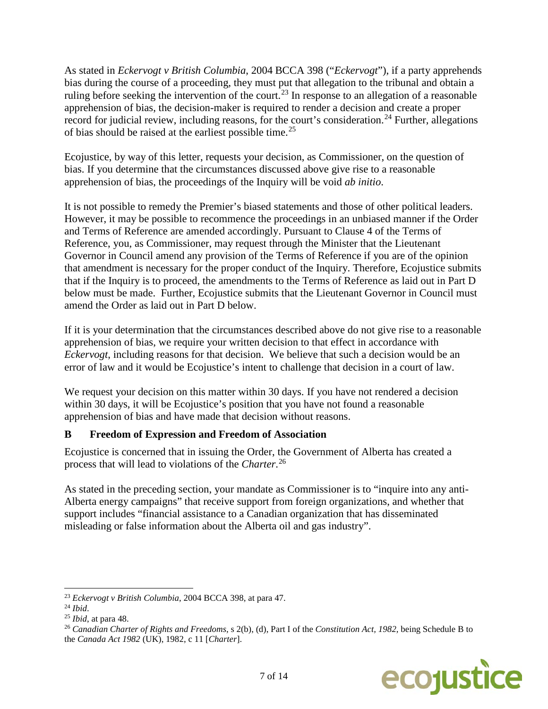As stated in *Eckervogt v British Columbia*, 2004 BCCA 398 ("*Eckervogt*"), if a party apprehends bias during the course of a proceeding, they must put that allegation to the tribunal and obtain a ruling before seeking the intervention of the court.<sup>[23](#page-6-0)</sup> In response to an allegation of a reasonable apprehension of bias, the decision-maker is required to render a decision and create a proper record for judicial review, including reasons, for the court's consideration.<sup>[24](#page-6-1)</sup> Further, allegations of bias should be raised at the earliest possible time.[25](#page-6-2)

Ecojustice, by way of this letter, requests your decision, as Commissioner, on the question of bias. If you determine that the circumstances discussed above give rise to a reasonable apprehension of bias, the proceedings of the Inquiry will be void *ab initio*.

It is not possible to remedy the Premier's biased statements and those of other political leaders. However, it may be possible to recommence the proceedings in an unbiased manner if the Order and Terms of Reference are amended accordingly. Pursuant to Clause 4 of the Terms of Reference, you, as Commissioner, may request through the Minister that the Lieutenant Governor in Council amend any provision of the Terms of Reference if you are of the opinion that amendment is necessary for the proper conduct of the Inquiry. Therefore, Ecojustice submits that if the Inquiry is to proceed, the amendments to the Terms of Reference as laid out in Part D below must be made. Further, Ecojustice submits that the Lieutenant Governor in Council must amend the Order as laid out in Part D below.

If it is your determination that the circumstances described above do not give rise to a reasonable apprehension of bias, we require your written decision to that effect in accordance with *Eckervogt*, including reasons for that decision. We believe that such a decision would be an error of law and it would be Ecojustice's intent to challenge that decision in a court of law.

We request your decision on this matter within 30 days. If you have not rendered a decision within 30 days, it will be Ecojustice's position that you have not found a reasonable apprehension of bias and have made that decision without reasons.

# **B Freedom of Expression and Freedom of Association**

Ecojustice is concerned that in issuing the Order, the Government of Alberta has created a process that will lead to violations of the *Charter*. [26](#page-6-3)

As stated in the preceding section, your mandate as Commissioner is to "inquire into any anti-Alberta energy campaigns" that receive support from foreign organizations, and whether that support includes "financial assistance to a Canadian organization that has disseminated misleading or false information about the Alberta oil and gas industry".

<span id="page-6-3"></span><sup>26</sup> *Canadian Charter of Rights and Freedoms*, s 2(b), (d), Part I of the *Constitution Act, 1982*, being Schedule B to the *Canada Act 1982* (UK), 1982, c 11 [*Charter*].



l <sup>23</sup> *Eckervogt v British Columbia*, 2004 BCCA 398, at para 47.

<span id="page-6-1"></span><span id="page-6-0"></span><sup>24</sup> *Ibid*.

<span id="page-6-2"></span><sup>25</sup> *Ibid*, at para 48.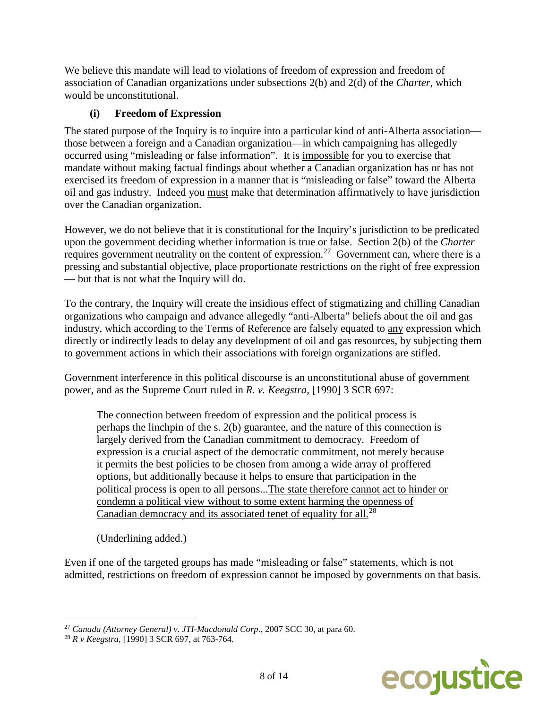We believe this mandate will lead to violations of freedom of expression and freedom of association of Canadian organizations under subsections 2(b) and 2(d) of the *Charter*, which would be unconstitutional.

# **(i) Freedom of Expression**

The stated purpose of the Inquiry is to inquire into a particular kind of anti-Alberta association those between a foreign and a Canadian organization—in which campaigning has allegedly occurred using "misleading or false information". It is impossible for you to exercise that mandate without making factual findings about whether a Canadian organization has or has not exercised its freedom of expression in a manner that is "misleading or false" toward the Alberta oil and gas industry. Indeed you must make that determination affirmatively to have jurisdiction over the Canadian organization.

However, we do not believe that it is constitutional for the Inquiry's jurisdiction to be predicated upon the government deciding whether information is true or false. Section 2(b) of the *Charter* requires government neutrality on the content of expression.<sup>[27](#page-7-0)</sup> Government can, where there is a pressing and substantial objective, place proportionate restrictions on the right of free expression — but that is not what the Inquiry will do.

To the contrary, the Inquiry will create the insidious effect of stigmatizing and chilling Canadian organizations who campaign and advance allegedly "anti-Alberta" beliefs about the oil and gas industry, which according to the Terms of Reference are falsely equated to any expression which directly or indirectly leads to delay any development of oil and gas resources, by subjecting them to government actions in which their associations with foreign organizations are stifled.

Government interference in this political discourse is an unconstitutional abuse of government power, and as the Supreme Court ruled in *R. v. Keegstra*, [1990] 3 SCR 697:

The connection between freedom of expression and the political process is perhaps the linchpin of the s. 2(b) guarantee, and the nature of this connection is largely derived from the Canadian commitment to democracy. Freedom of expression is a crucial aspect of the democratic commitment, not merely because it permits the best policies to be chosen from among a wide array of proffered options, but additionally because it helps to ensure that participation in the political process is open to all persons...The state therefore cannot act to hinder or condemn a political view without to some extent harming the openness of Canadian democracy and its associated tenet of equality for all. $\frac{28}{2}$  $\frac{28}{2}$  $\frac{28}{2}$ 

(Underlining added.)

Even if one of the targeted groups has made "misleading or false" statements, which is not admitted, restrictions on freedom of expression cannot be imposed by governments on that basis.

l



<span id="page-7-0"></span><sup>27</sup> *Canada (Attorney General) v. JTI-Macdonald Corp.*, 2007 SCC 30, at para 60.

<span id="page-7-1"></span><sup>28</sup> *R v Keegstra*, [1990] 3 SCR 697, at 763-764.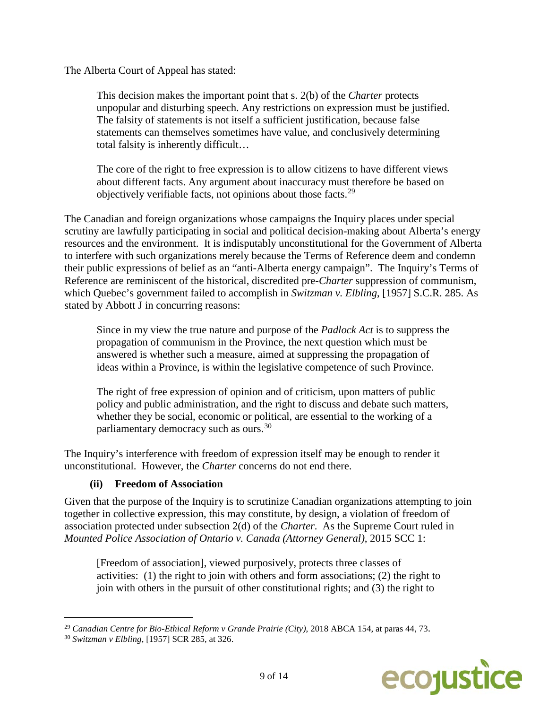The Alberta Court of Appeal has stated:

This decision makes the important point that s. 2(b) of the *Charter* protects unpopular and disturbing speech. Any restrictions on expression must be justified. The falsity of statements is not itself a sufficient justification, because false statements can themselves sometimes have value, and conclusively determining total falsity is inherently difficult…

The core of the right to free expression is to allow citizens to have different views about different facts. Any argument about inaccuracy must therefore be based on objectively verifiable facts, not opinions about those facts. $29$ 

The Canadian and foreign organizations whose campaigns the Inquiry places under special scrutiny are lawfully participating in social and political decision-making about Alberta's energy resources and the environment. It is indisputably unconstitutional for the Government of Alberta to interfere with such organizations merely because the Terms of Reference deem and condemn their public expressions of belief as an "anti-Alberta energy campaign". The Inquiry's Terms of Reference are reminiscent of the historical, discredited pre-*Charter* suppression of communism, which Quebec's government failed to accomplish in *Switzman v. Elbling*, [1957] S.C.R. 285. As stated by Abbott J in concurring reasons:

Since in my view the true nature and purpose of the *Padlock Act* is to suppress the propagation of communism in the Province, the next question which must be answered is whether such a measure, aimed at suppressing the propagation of ideas within a Province, is within the legislative competence of such Province.

The right of free expression of opinion and of criticism, upon matters of public policy and public administration, and the right to discuss and debate such matters, whether they be social, economic or political, are essential to the working of a parliamentary democracy such as ours.<sup>[30](#page-8-1)</sup>

The Inquiry's interference with freedom of expression itself may be enough to render it unconstitutional. However, the *Charter* concerns do not end there.

## **(ii) Freedom of Association**

Given that the purpose of the Inquiry is to scrutinize Canadian organizations attempting to join together in collective expression, this may constitute, by design, a violation of freedom of association protected under subsection 2(d) of the *Charter*. As the Supreme Court ruled in *Mounted Police Association of Ontario v. Canada (Attorney General)*, 2015 SCC 1:

[Freedom of association], viewed purposively, protects three classes of activities: (1) the right to join with others and form associations; (2) the right to join with others in the pursuit of other constitutional rights; and (3) the right to

 $\overline{\phantom{a}}$ 



<span id="page-8-0"></span><sup>29</sup> *Canadian Centre for Bio-Ethical Reform v Grande Prairie (City)*, 2018 ABCA 154, at paras 44, 73.

<span id="page-8-1"></span><sup>30</sup> *Switzman v Elbling*, [1957] SCR 285, at 326.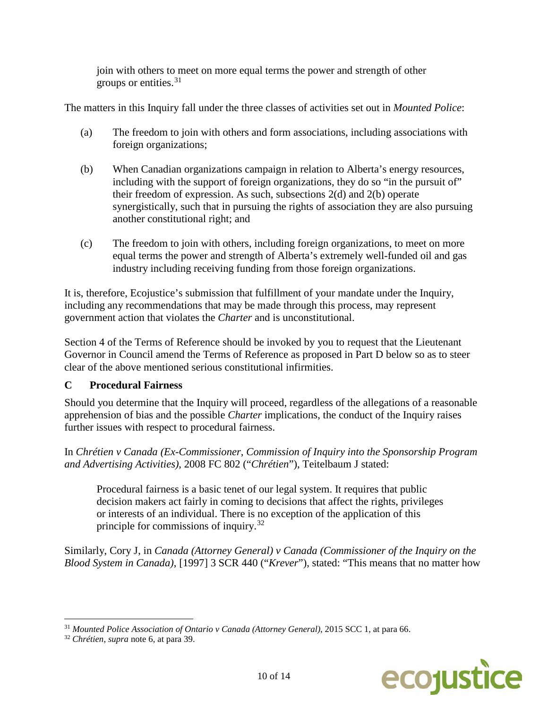join with others to meet on more equal terms the power and strength of other groups or entities. $31$ 

The matters in this Inquiry fall under the three classes of activities set out in *Mounted Police*:

- (a) The freedom to join with others and form associations, including associations with foreign organizations;
- (b) When Canadian organizations campaign in relation to Alberta's energy resources, including with the support of foreign organizations, they do so "in the pursuit of" their freedom of expression. As such, subsections 2(d) and 2(b) operate synergistically, such that in pursuing the rights of association they are also pursuing another constitutional right; and
- (c) The freedom to join with others, including foreign organizations, to meet on more equal terms the power and strength of Alberta's extremely well-funded oil and gas industry including receiving funding from those foreign organizations.

It is, therefore, Ecojustice's submission that fulfillment of your mandate under the Inquiry, including any recommendations that may be made through this process, may represent government action that violates the *Charter* and is unconstitutional.

Section 4 of the Terms of Reference should be invoked by you to request that the Lieutenant Governor in Council amend the Terms of Reference as proposed in Part D below so as to steer clear of the above mentioned serious constitutional infirmities.

# **C Procedural Fairness**

Should you determine that the Inquiry will proceed, regardless of the allegations of a reasonable apprehension of bias and the possible *Charter* implications, the conduct of the Inquiry raises further issues with respect to procedural fairness.

In *Chrétien v Canada (Ex-Commissioner, Commission of Inquiry into the Sponsorship Program and Advertising Activities)*, 2008 FC 802 ("*Chrétien*"), Teitelbaum J stated:

Procedural fairness is a basic tenet of our legal system. It requires that public decision makers act fairly in coming to decisions that affect the rights, privileges or interests of an individual. There is no exception of the application of this principle for commissions of inquiry.[32](#page-9-1)

Similarly, Cory J, in *Canada (Attorney General) v Canada (Commissioner of the Inquiry on the Blood System in Canada)*, [1997] 3 SCR 440 ("*Krever*"), stated: "This means that no matter how

l



<span id="page-9-0"></span><sup>31</sup> *Mounted Police Association of Ontario v Canada (Attorney General)*, 2015 SCC 1, at para 66.

<span id="page-9-1"></span><sup>32</sup> *Chrétien*, *supra* note 6, at para 39.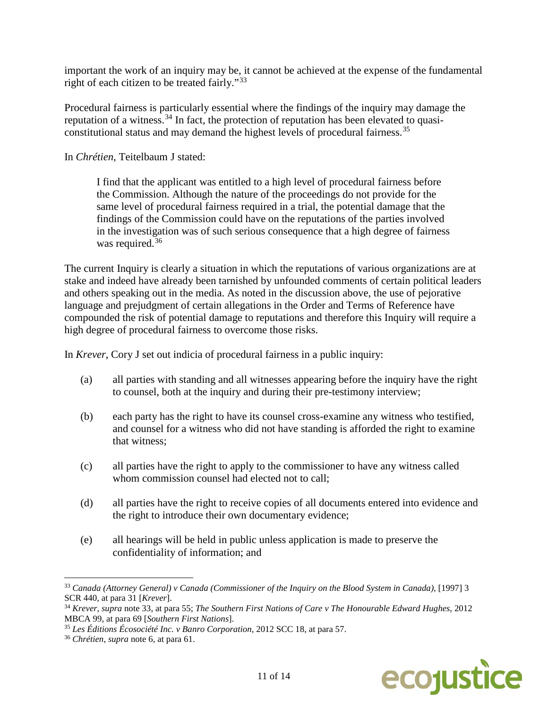important the work of an inquiry may be, it cannot be achieved at the expense of the fundamental right of each citizen to be treated fairly."<sup>[33](#page-10-0)</sup>

Procedural fairness is particularly essential where the findings of the inquiry may damage the reputation of a witness.<sup>[34](#page-10-1)</sup> In fact, the protection of reputation has been elevated to quasi-constitutional status and may demand the highest levels of procedural fairness.<sup>[35](#page-10-2)</sup>

In *Chrétien*, Teitelbaum J stated:

I find that the applicant was entitled to a high level of procedural fairness before the Commission. Although the nature of the proceedings do not provide for the same level of procedural fairness required in a trial, the potential damage that the findings of the Commission could have on the reputations of the parties involved in the investigation was of such serious consequence that a high degree of fairness was required.<sup>[36](#page-10-3)</sup>

The current Inquiry is clearly a situation in which the reputations of various organizations are at stake and indeed have already been tarnished by unfounded comments of certain political leaders and others speaking out in the media. As noted in the discussion above, the use of pejorative language and prejudgment of certain allegations in the Order and Terms of Reference have compounded the risk of potential damage to reputations and therefore this Inquiry will require a high degree of procedural fairness to overcome those risks.

In *Krever*, Cory J set out indicia of procedural fairness in a public inquiry:

- (a) all parties with standing and all witnesses appearing before the inquiry have the right to counsel, both at the inquiry and during their pre-testimony interview;
- (b) each party has the right to have its counsel cross-examine any witness who testified, and counsel for a witness who did not have standing is afforded the right to examine that witness;
- (c) all parties have the right to apply to the commissioner to have any witness called whom commission counsel had elected not to call;
- (d) all parties have the right to receive copies of all documents entered into evidence and the right to introduce their own documentary evidence;
- (e) all hearings will be held in public unless application is made to preserve the confidentiality of information; and



<span id="page-10-0"></span> $\overline{\phantom{a}}$ <sup>33</sup> *Canada (Attorney General) v Canada (Commissioner of the Inquiry on the Blood System in Canada)*, [1997] 3 SCR 440, at para 31 [*Krever*].

<span id="page-10-1"></span><sup>34</sup> *Krever*, *supra* note 33, at para 55; *The Southern First Nations of Care v The Honourable Edward Hughes*, 2012 MBCA 99, at para 69 [*Southern First Nations*].

<span id="page-10-2"></span><sup>35</sup> *Les Éditions Écosociété Inc. v Banro Corporation*, 2012 SCC 18, at para 57.

<span id="page-10-3"></span><sup>36</sup> *Chrétien*, *supra* note 6, at para 61.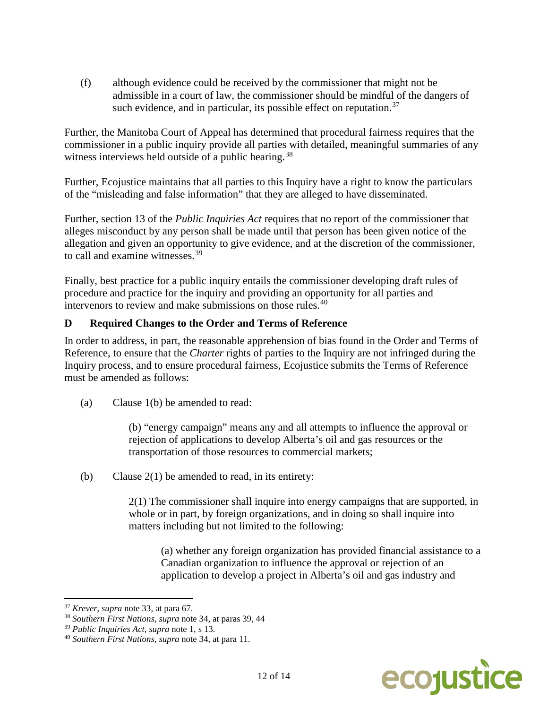(f) although evidence could be received by the commissioner that might not be admissible in a court of law, the commissioner should be mindful of the dangers of such evidence, and in particular, its possible effect on reputation.  $37$ 

Further, the Manitoba Court of Appeal has determined that procedural fairness requires that the commissioner in a public inquiry provide all parties with detailed, meaningful summaries of any witness interviews held outside of a public hearing.<sup>[38](#page-11-1)</sup>

Further, Ecojustice maintains that all parties to this Inquiry have a right to know the particulars of the "misleading and false information" that they are alleged to have disseminated.

Further, section 13 of the *Public Inquiries Act* requires that no report of the commissioner that alleges misconduct by any person shall be made until that person has been given notice of the allegation and given an opportunity to give evidence, and at the discretion of the commissioner, to call and examine witnesses.[39](#page-11-2)

Finally, best practice for a public inquiry entails the commissioner developing draft rules of procedure and practice for the inquiry and providing an opportunity for all parties and intervenors to review and make submissions on those rules.<sup>[40](#page-11-3)</sup>

## **D Required Changes to the Order and Terms of Reference**

In order to address, in part, the reasonable apprehension of bias found in the Order and Terms of Reference, to ensure that the *Charter* rights of parties to the Inquiry are not infringed during the Inquiry process, and to ensure procedural fairness, Ecojustice submits the Terms of Reference must be amended as follows:

(a) Clause 1(b) be amended to read:

(b) "energy campaign" means any and all attempts to influence the approval or rejection of applications to develop Alberta's oil and gas resources or the transportation of those resources to commercial markets;

(b) Clause  $2(1)$  be amended to read, in its entirety:

2(1) The commissioner shall inquire into energy campaigns that are supported, in whole or in part, by foreign organizations, and in doing so shall inquire into matters including but not limited to the following:

(a) whether any foreign organization has provided financial assistance to a Canadian organization to influence the approval or rejection of an application to develop a project in Alberta's oil and gas industry and

 $\overline{a}$ 



<span id="page-11-0"></span><sup>37</sup> *Krever*, *supra* note 33, at para 67.

<span id="page-11-1"></span><sup>38</sup> *Southern First Nations*, *supra* note 34, at paras 39, 44

<span id="page-11-2"></span><sup>39</sup> *Public Inquiries Act*, *supra* note 1, s 13.

<span id="page-11-3"></span><sup>40</sup> *Southern First Nations*, *supra* note 34, at para 11.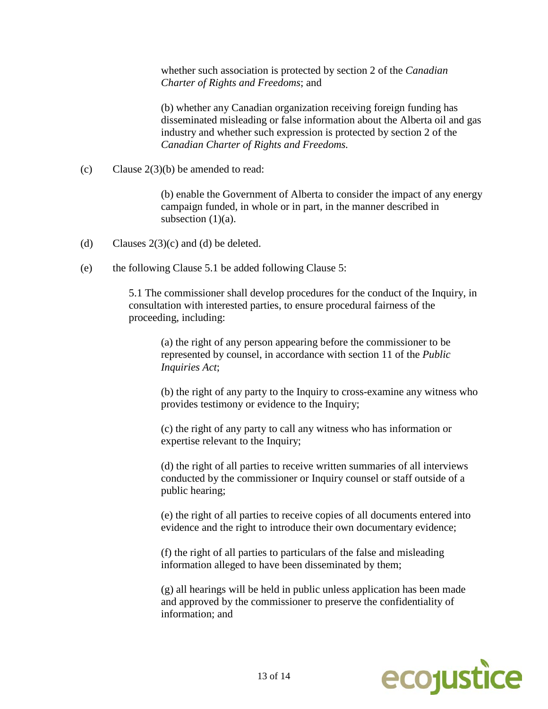whether such association is protected by section 2 of the *Canadian Charter of Rights and Freedoms*; and

(b) whether any Canadian organization receiving foreign funding has disseminated misleading or false information about the Alberta oil and gas industry and whether such expression is protected by section 2 of the *Canadian Charter of Rights and Freedoms.*

(c) Clause  $2(3)(b)$  be amended to read:

(b) enable the Government of Alberta to consider the impact of any energy campaign funded, in whole or in part, in the manner described in subsection  $(1)(a)$ .

- (d) Clauses  $2(3)(c)$  and (d) be deleted.
- (e) the following Clause 5.1 be added following Clause 5:

5.1 The commissioner shall develop procedures for the conduct of the Inquiry, in consultation with interested parties, to ensure procedural fairness of the proceeding, including:

(a) the right of any person appearing before the commissioner to be represented by counsel, in accordance with section 11 of the *Public Inquiries Act*;

(b) the right of any party to the Inquiry to cross-examine any witness who provides testimony or evidence to the Inquiry;

(c) the right of any party to call any witness who has information or expertise relevant to the Inquiry;

(d) the right of all parties to receive written summaries of all interviews conducted by the commissioner or Inquiry counsel or staff outside of a public hearing;

(e) the right of all parties to receive copies of all documents entered into evidence and the right to introduce their own documentary evidence;

(f) the right of all parties to particulars of the false and misleading information alleged to have been disseminated by them;

(g) all hearings will be held in public unless application has been made and approved by the commissioner to preserve the confidentiality of information; and